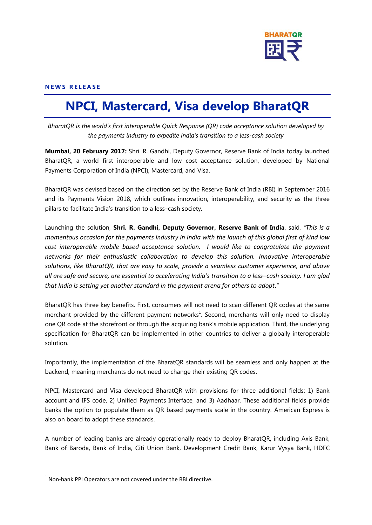

# **N E W S R E L E A S E**

# **NPCI, Mastercard, Visa develop BharatQR**

*BharatQR is the world's first interoperable Quick Response (QR) code acceptance solution developed by the payments industry to expedite India's transition to a less-cash society*

**Mumbai, 20 February 2017:** Shri. R. Gandhi, Deputy Governor, Reserve Bank of India today launched BharatQR, a world first interoperable and low cost acceptance solution, developed by National Payments Corporation of India (NPCI), Mastercard, and Visa.

BharatQR was devised based on the direction set by the Reserve Bank of India (RBI) in September 2016 and its Payments Vision 2018, which outlines innovation, interoperability, and security as the three pillars to facilitate India's transition to a less–cash society.

Launching the solution, **Shri. R. Gandhi, Deputy Governor, Reserve Bank of India**, said, *"This is a momentous occasion for the payments industry in India with the launch of this global first of kind low cost interoperable mobile based acceptance solution. I would like to congratulate the payment networks for their enthusiastic collaboration to develop this solution. Innovative interoperable solutions, like BharatQR, that are easy to scale, provide a seamless customer experience, and above all are safe and secure, are essential to accelerating India's transition to a less–cash society. I am glad that India is setting yet another standard in the payment arena for others to adopt*.*"*

BharatQR has three key benefits. First, consumers will not need to scan different QR codes at the same merchant provided by the different payment networks<sup>1</sup>. Second, merchants will only need to display one QR code at the storefront or through the acquiring bank's mobile application. Third, the underlying specification for BharatQR can be implemented in other countries to deliver a globally interoperable solution.

Importantly, the implementation of the BharatQR standards will be seamless and only happen at the backend, meaning merchants do not need to change their existing QR codes.

NPCI, Mastercard and Visa developed BharatQR with provisions for three additional fields: 1) Bank account and IFS code, 2) Unified Payments Interface, and 3) Aadhaar. These additional fields provide banks the option to populate them as QR based payments scale in the country. American Express is also on board to adopt these standards.

A number of leading banks are already operationally ready to deploy BharatQR, including Axis Bank, Bank of Baroda, Bank of India, Citi Union Bank, Development Credit Bank, Karur Vysya Bank, HDFC

**.** 

 $1$  Non-bank PPI Operators are not covered under the RBI directive.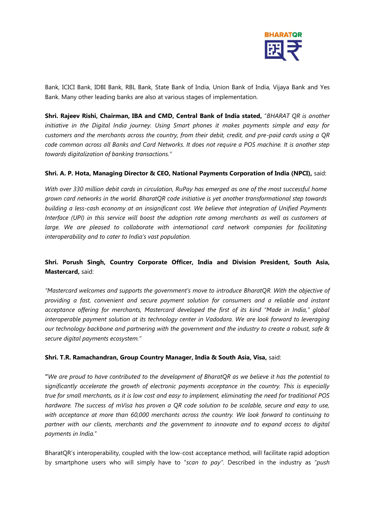

Bank, ICICI Bank, IDBI Bank, RBL Bank, State Bank of India, Union Bank of India, Vijaya Bank and Yes Bank. Many other leading banks are also at various stages of implementation.

**Shri. Rajeev Rishi, Chairman, IBA and CMD, Central Bank of India stated,** "*BHARAT QR is another initiative in the Digital India journey. Using Smart phones it makes payments simple and easy for customers and the merchants across the country, from their debit, credit, and pre-paid cards using a QR code common across all Banks and Card Networks. It does not require a POS machine. It is another step towards digitalization of banking transactions."* 

# **Shri. A. P. Hota, Managing Director & CEO, National Payments Corporation of India (NPCI),** said:

*With over 330 million debit cards in circulation, RuPay has emerged as one of the most successful home grown card networks in the world. BharatQR code initiative is yet another transformational step towards building a less-cash economy at an insignificant cost. We believe that integration of Unified Payments Interface (UPI) in this service will boost the adoption rate among merchants as well as customers at*  large. We are pleased to collaborate with international card network companies for facilitating *interoperability and to cater to India's vast population.*

# **Shri. Porush Singh, Country Corporate Officer, India and Division President, South Asia, Mastercard,** said:

*"Mastercard welcomes and supports the government's move to introduce BharatQR. With the objective of providing a fast, convenient and secure payment solution for consumers and a reliable and instant acceptance offering for merchants, Mastercard developed the first of its kind "Made in India," global interoperable payment solution at its technology center in Vadodara. We are look forward to leveraging our technology backbone and partnering with the government and the industry to create a robust, safe & secure digital payments ecosystem."* 

# **Shri. T.R. Ramachandran, Group Country Manager, India & South Asia, Visa,** said:

**"***We are proud to have contributed to the development of BharatQR as we believe it has the potential to significantly accelerate the growth of electronic payments acceptance in the country. This is especially true for small merchants, as it is low cost and easy to implement, eliminating the need for traditional POS hardware. The success of mVisa has proven a QR code solution to be scalable, secure and easy to use, with acceptance at more than 60,000 merchants across the country. We look forward to continuing to partner with our clients, merchants and the government to innovate and to expand access to digital payments in India.*"

BharatQR's interoperability, coupled with the low-cost acceptance method, will facilitate rapid adoption by smartphone users who will simply have to "*scan to pay"*. Described in the industry as "*push*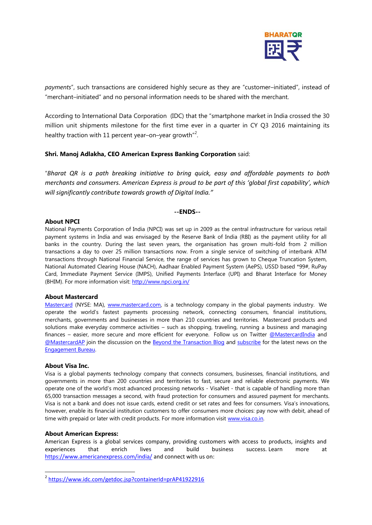

*payments*", such transactions are considered highly secure as they are "customer–initiated", instead of "merchant–initiated" and no personal information needs to be shared with the merchant.

According to International Data Corporation (IDC) that the "smartphone market in India crossed the 30 million unit shipments milestone for the first time ever in a quarter in CY Q3 2016 maintaining its healthy traction with 11 percent year–on–year growth"<sup>2</sup>.

### **Shri. Manoj Adlakha, CEO American Express Banking Corporation** said:

"*Bharat QR is a path breaking initiative to bring quick, easy and affordable payments to both merchants and consumers. American Express is proud to be part of this 'global first capability', which will significantly contribute towards growth of Digital India."* 

#### **--ENDS--**

## **About NPCI**

National Payments Corporation of India (NPCI) was set up in 2009 as the central infrastructure for various retail payment systems in India and was envisaged by the Reserve Bank of India (RBI) as the payment utility for all banks in the country. During the last seven years, the organisation has grown multi-fold from 2 million transactions a day to over 25 million transactions now. From a single service of switching of interbank ATM transactions through National Financial Service, the range of services has grown to Cheque Truncation System, National Automated Clearing House (NACH), Aadhaar Enabled Payment System (AePS), USSD based \*99#, RuPay Card, Immediate Payment Service (IMPS), Unified Payments Interface (UPI) and Bharat Interface for Money (BHIM). For more information visit:<http://www.npci.org.in/>

#### **About Mastercard**

[Mastercard](http://mastercard/) (NYSE: MA), [www.mastercard.com,](http://www.mastercard.com/) is a technology company in the global payments industry. We operate the world's fastest payments processing network, connecting consumers, financial institutions, merchants, governments and businesses in more than 210 countries and territories. Mastercard products and solutions make everyday commerce activities – such as shopping, traveling, running a business and managing finances – easier, more secure and more efficient for everyone. Follow us on Twitter [@MastercardIndia](https://twitter.com/mastercardindia) and [@MastercardAP](https://twitter.com/mastercardap) join the discussion on the [Beyond the Transaction Blog](http://newsroom.mastercard.com/asia-pacific/blog/) and [subscribe](http://newsroom.mastercard.com/asia-pacific/subscribe) for the latest news on the [Engagement Bureau.](http://newsroom.mastercard.com/asia-pacific)

#### **About Visa Inc.**

**.** 

Visa is a global payments technology company that connects consumers, businesses, financial institutions, and governments in more than 200 countries and territories to fast, secure and reliable electronic payments. We operate one of the world's most advanced processing networks - VisaNet - that is capable of handling more than 65,000 transaction messages a second, with fraud protection for consumers and assured payment for merchants. Visa is not a bank and does not issue cards, extend credit or set rates and fees for consumers. Visa's innovations, however, enable its financial institution customers to offer consumers more choices: pay now with debit, ahead of time with prepaid or later with credit products. For more information visit [www.visa.co.in.](http://www.visa.co.in/)

#### **About American Express:**

American Express is a global services company, providing customers with access to products, insights and experiences that enrich lives and build business success. Learn more at <https://www.americanexpress.com/india/> and connect with us on:

<sup>&</sup>lt;sup>2</sup> <https://www.idc.com/getdoc.jsp?containerId=prAP41922916>